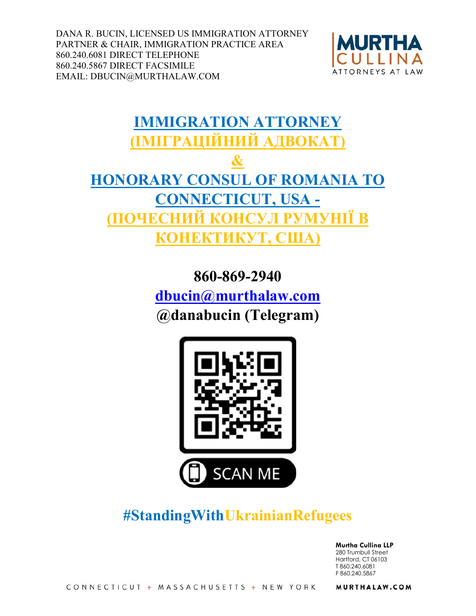DANA R. BUCIN, LICENSED US IMMIGRATION ATTORNEY PARTNER & CHAIR, IMMIGRATION PRACTICE AREA 860.240.6081 DIRECT TELEPHONE 860.240.5867 DIRECT FACSIMILE EMAIL: DBUCIN@MURTHALAW.COM



# **IMMIGRATION ATTORNEY (ІМІГРАЦІЙНИЙ АДВОКАТ) & HONORARY CONSUL OF ROMANIA TO CONNECTICUT, USA - HIIÏ B КОНЕКТИКУТ, США)**

**860-869-2940 dbucin@murthalaw.com @danabucin (Telegram)**



## **#StandingWithUkrainianRefugees**

**Murtha Cullina LLP**  280 Trumbull Street Hartford, CT 06103 T 860.240.6081 F 860.240.5867

MURTHALAW.COM